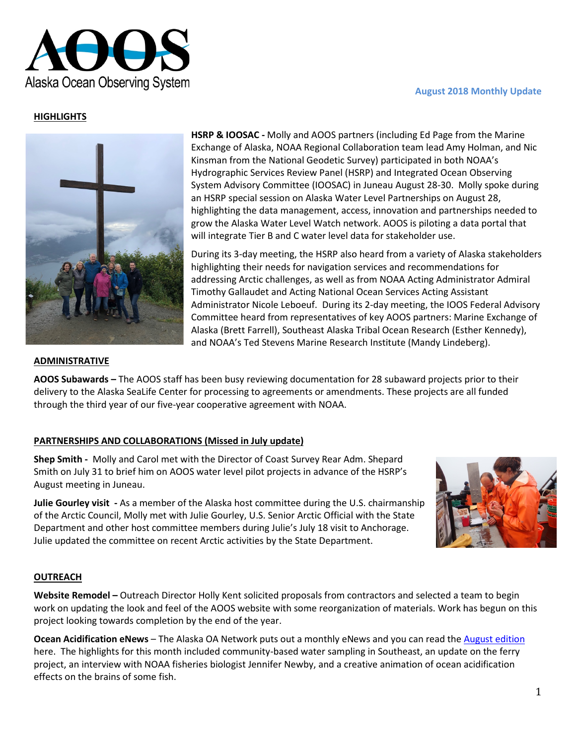### **August 2018 Monthly Update**



## **HIGHLIGHTS**



**HSRP & IOOSAC -** Molly and AOOS partners (including Ed Page from the Marine Exchange of Alaska, NOAA Regional Collaboration team lead Amy Holman, and Nic Kinsman from the National Geodetic Survey) participated in both NOAA's Hydrographic Services Review Panel (HSRP) and Integrated Ocean Observing System Advisory Committee (IOOSAC) in Juneau August 28-30. Molly spoke during an HSRP special session on Alaska Water Level Partnerships on August 28, highlighting the data management, access, innovation and partnerships needed to grow the Alaska Water Level Watch network. AOOS is piloting a data portal that will integrate Tier B and C water level data for stakeholder use.

During its 3-day meeting, the HSRP also heard from a variety of Alaska stakeholders highlighting their needs for navigation services and recommendations for addressing Arctic challenges, as well as from NOAA Acting Administrator Admiral Timothy Gallaudet and Acting National Ocean Services Acting Assistant Administrator Nicole Leboeuf. During its 2-day meeting, the IOOS Federal Advisory Committee heard from representatives of key AOOS partners: Marine Exchange of Alaska (Brett Farrell), Southeast Alaska Tribal Ocean Research (Esther Kennedy), and NOAA's Ted Stevens Marine Research Institute (Mandy Lindeberg).

#### **ADMINISTRATIVE**

**AOOS Subawards –** The AOOS staff has been busy reviewing documentation for 28 subaward projects prior to their delivery to the Alaska SeaLife Center for processing to agreements or amendments. These projects are all funded through the third year of our five-year cooperative agreement with NOAA.

# **PARTNERSHIPS AND COLLABORATIONS (Missed in July update)**

**Shep Smith -** Molly and Carol met with the Director of Coast Survey Rear Adm. Shepard Smith on July 31 to brief him on AOOS water level pilot projects in advance of the HSRP's August meeting in Juneau.

**Julie Gourley visit -** As a member of the Alaska host committee during the U.S. chairmanship of the Arctic Council, Molly met with Julie Gourley, U.S. Senior Arctic Official with the State Department and other host committee members during Julie's July 18 visit to Anchorage. Julie updated the committee on recent Arctic activities by the State Department.



## **OUTREACH**

**Website Remodel –** Outreach Director Holly Kent solicited proposals from contractors and selected a team to begin work on updating the look and feel of the AOOS website with some reorganization of materials. Work has begun on this project looking towards completion by the end of the year.

**Ocean Acidification eNews** – The Alaska OA Network puts out a monthly eNews and you can read the [August](https://mailchi.mp/aoos/southeast-alaska-stepping-up-crabby-science-and-droning-with-sails?e=97e06a0aa9) edition here. The highlights for this month included community-based water sampling in Southeast, an update on the ferry project, an interview with NOAA fisheries biologist Jennifer Newby, and a creative animation of ocean acidification effects on the brains of some fish.